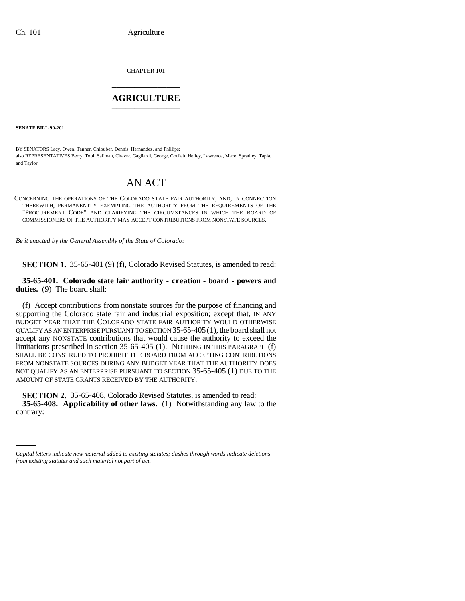CHAPTER 101 \_\_\_\_\_\_\_\_\_\_\_\_\_\_\_

## **AGRICULTURE** \_\_\_\_\_\_\_\_\_\_\_\_\_\_\_

**SENATE BILL 99-201** 

BY SENATORS Lacy, Owen, Tanner, Chlouber, Dennis, Hernandez, and Phillips; also REPRESENTATIVES Berry, Tool, Saliman, Chavez, Gagliardi, George, Gotlieb, Hefley, Lawrence, Mace, Spradley, Tapia, and Taylor.

## AN ACT

CONCERNING THE OPERATIONS OF THE COLORADO STATE FAIR AUTHORITY, AND, IN CONNECTION THEREWITH, PERMANENTLY EXEMPTING THE AUTHORITY FROM THE REQUIREMENTS OF THE "PROCUREMENT CODE" AND CLARIFYING THE CIRCUMSTANCES IN WHICH THE BOARD OF COMMISSIONERS OF THE AUTHORITY MAY ACCEPT CONTRIBUTIONS FROM NONSTATE SOURCES.

*Be it enacted by the General Assembly of the State of Colorado:*

**SECTION 1.** 35-65-401 (9) (f), Colorado Revised Statutes, is amended to read:

**35-65-401. Colorado state fair authority - creation - board - powers and duties.** (9) The board shall:

(f) Accept contributions from nonstate sources for the purpose of financing and supporting the Colorado state fair and industrial exposition; except that, IN ANY BUDGET YEAR THAT THE COLORADO STATE FAIR AUTHORITY WOULD OTHERWISE QUALIFY AS AN ENTERPRISE PURSUANT TO SECTION 35-65-405(1), the board shall not accept any NONSTATE contributions that would cause the authority to exceed the limitations prescribed in section 35-65-405 (1). NOTHING IN THIS PARAGRAPH (f) SHALL BE CONSTRUED TO PROHIBIT THE BOARD FROM ACCEPTING CONTRIBUTIONS FROM NONSTATE SOURCES DURING ANY BUDGET YEAR THAT THE AUTHORITY DOES NOT QUALIFY AS AN ENTERPRISE PURSUANT TO SECTION 35-65-405 (1) DUE TO THE AMOUNT OF STATE GRANTS RECEIVED BY THE AUTHORITY.

 **35-65-408. Applicability of other laws.** (1) Notwithstanding any law to the **SECTION 2.** 35-65-408, Colorado Revised Statutes, is amended to read: contrary:

*Capital letters indicate new material added to existing statutes; dashes through words indicate deletions from existing statutes and such material not part of act.*